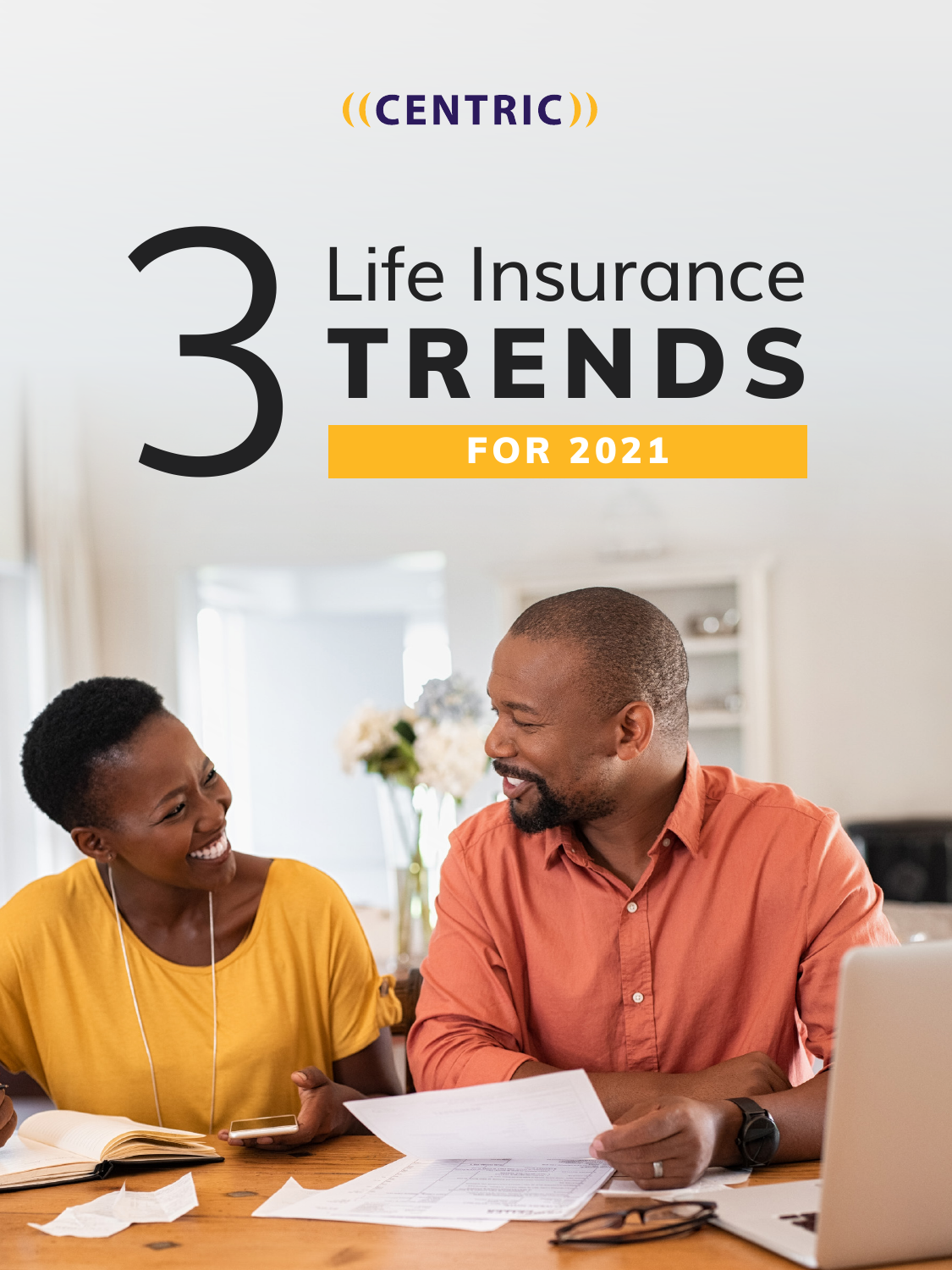#### $((CENTRIC))$

### FOR 2021 Life Insurance<br>TRENDS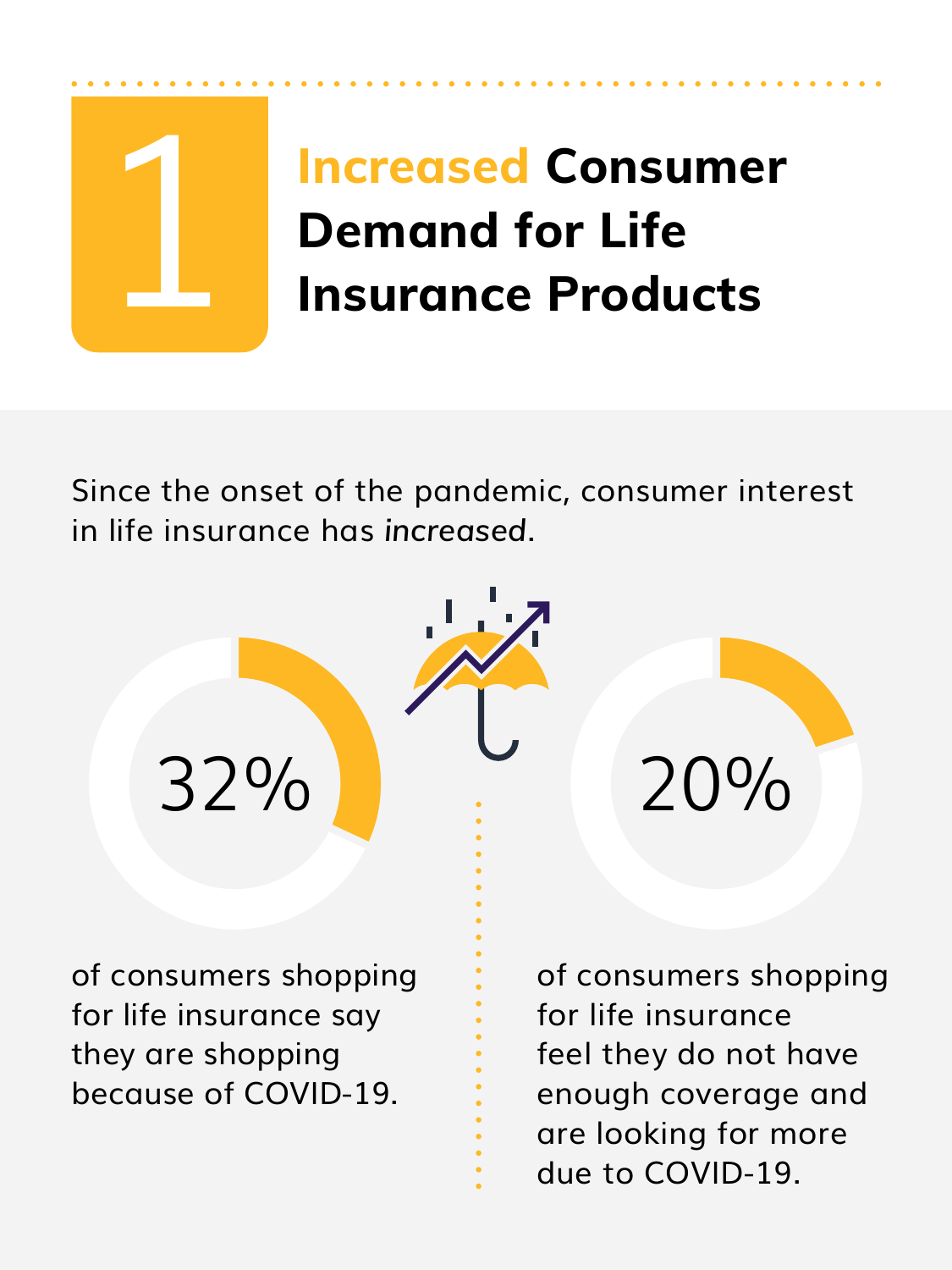

#### **Increased Consumer Demand for Life Insurance Products**

Since the onset of the pandemic, consumer interest in life insurance has *increased*.



of consumers shopping for life insurance say they are shopping because of COVID-19.

of consumers shopping for life insurance feel they do not have enough coverage and are looking for more due to COVID-19.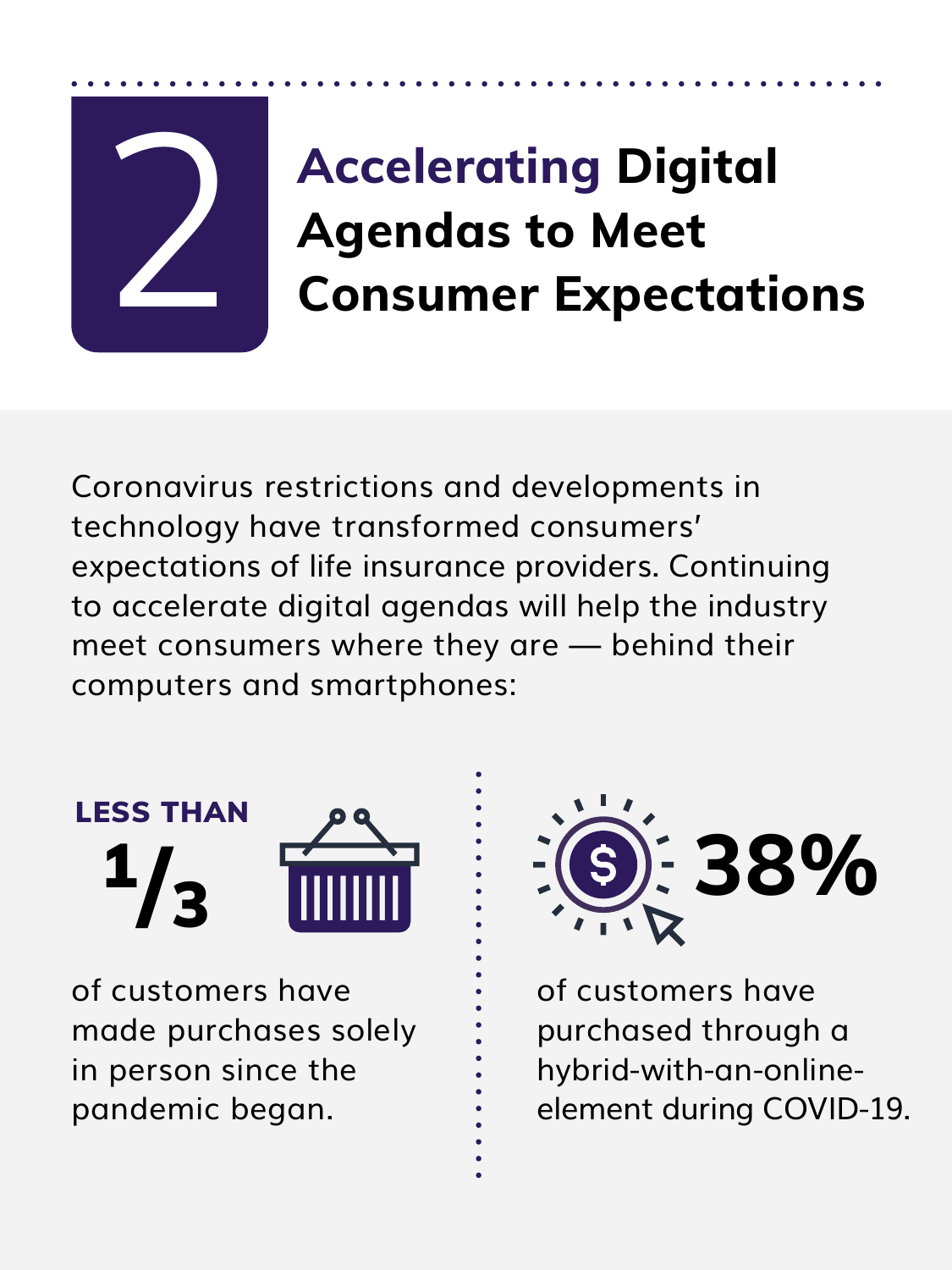# 2

#### **Accelerating Digital Agendas to Meet Consumer Expectations**

Coronavirus restrictions and developments in technology have transformed consumers' expectations of life insurance providers. Continuing to accelerate digital agendas will help the industry meet consumers where they are — behind their computers and smartphones:



of customers have made purchases solely in person since the pandemic began.



of customers have purchased through a hybrid-with-an-onlineelement during COVID-19.